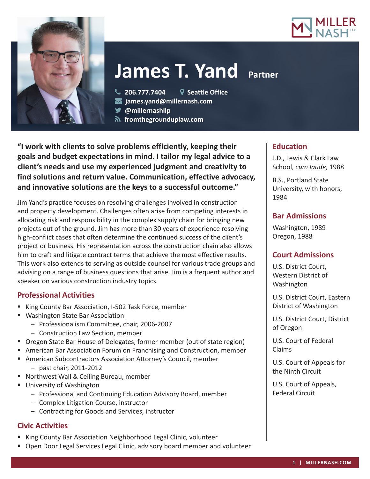



# **James T. Yand Partner**

**206.777.7404 Seattle Office**

**james.yand@millernash.com** 

**@millernashllp** 

 **fromthegrounduplaw.com**

**"I work with clients to solve problems efficiently, keeping their goals and budget expectations in mind. I tailor my legal advice to a client's needs and use my experienced judgment and creativity to find solutions and return value. Communication, effective advocacy, and innovative solutions are the keys to a successful outcome."**

Jim Yand's practice focuses on resolving challenges involved in construction and property development. Challenges often arise from competing interests in allocating risk and responsibility in the complex supply chain for bringing new projects out of the ground. Jim has more than 30 years of experience resolving high-conflict cases that often determine the continued success of the client's project or business. His representation across the construction chain also allows him to craft and litigate contract terms that achieve the most effective results. This work also extends to serving as outside counsel for various trade groups and advising on a range of business questions that arise. Jim is a frequent author and speaker on various construction industry topics.

# **Professional Activities**

- King County Bar Association, I-502 Task Force, member
- Washington State Bar Association
	- Professionalism Committee, chair, 2006-2007
	- Construction Law Section, member
- Oregon State Bar House of Delegates, former member (out of state region)
- American Bar Association Forum on Franchising and Construction, member
- American Subcontractors Association Attorney's Council, member – past chair, 2011-2012
- Northwest Wall & Ceiling Bureau, member
- **University of Washington** 
	- Professional and Continuing Education Advisory Board, member
	- Complex Litigation Course, instructor
	- Contracting for Goods and Services, instructor

## **Civic Activities**

- King County Bar Association Neighborhood Legal Clinic, volunteer
- Open Door Legal Services Legal Clinic, advisory board member and volunteer

## **Education**

J.D., Lewis & Clark Law School, *cum laude*, 1988

B.S., Portland State University, with honors, 1984

# **Bar Admissions**

Washington, 1989 Oregon, 1988

# **Court Admissions**

U.S. District Court, Western District of Washington

U.S. District Court, Eastern District of Washington

U.S. District Court, District of Oregon

U.S. Court of Federal Claims

U.S. Court of Appeals for the Ninth Circuit

U.S. Court of Appeals, Federal Circuit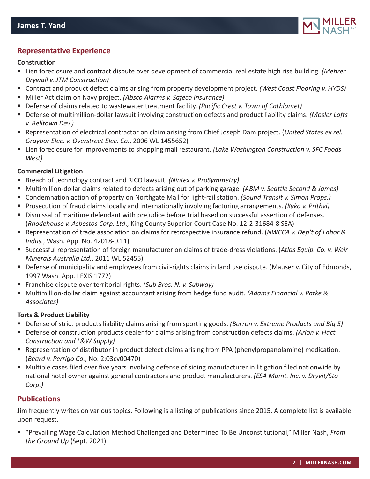

## **Representative Experience**

#### **Construction**

- Lien foreclosure and contract dispute over development of commercial real estate high rise building. *(Mehrer Drywall v. JTM Construction)*
- Contract and product defect claims arising from property development project. *(West Coast Flooring v. HYDS)*
- Miller Act claim on Navy project. *(Absco Alarms v. Safeco Insurance)*
- Defense of claims related to wastewater treatment facility. *(Pacific Crest v. Town of Cathlamet)*
- Defense of multimillion-dollar lawsuit involving construction defects and product liability claims. *(Mosler Lofts v. Belltown Dev.)*
- Representation of electrical contractor on claim arising from Chief Joseph Dam project. (*United States ex rel. Graybar Elec. v. Overstreet Elec. Co.*, 2006 WL 1455652)
- Lien foreclosure for improvements to shopping mall restaurant. *(Lake Washington Construction v. SFC Foods West)*

#### **Commercial Litigation**

- Breach of technology contract and RICO lawsuit. *(Nintex v. ProSymmetry)*
- Multimillion-dollar claims related to defects arising out of parking garage. *(ABM v. Seattle Second & James)*
- Condemnation action of property on Northgate Mall for light-rail station. *(Sound Transit v. Simon Props.)*
- Prosecution of fraud claims locally and internationally involving factoring arrangements. *(Kyko v. Prithvi)*
- Dismissal of maritime defendant with prejudice before trial based on successful assertion of defenses. (*Rhodehouse v. Asbestos Corp. Ltd*., King County Superior Court Case No. 12-2-31684-8 SEA)
- Representation of trade association on claims for retrospective insurance refund. (*NWCCA v. Dep't of Labor & Indus.*, Wash. App. No. 42018-0.11)
- Successful representation of foreign manufacturer on claims of trade-dress violations. (*Atlas Equip. Co. v. Weir Minerals Australia Ltd.*, 2011 WL 52455)
- Defense of municipality and employees from civil-rights claims in land use dispute. (Mauser v. City of Edmonds, 1997 Wash. App. LEXIS 1772)
- Franchise dispute over territorial rights. *(Sub Bros. N. v. Subway)*
- Multimillion-dollar claim against accountant arising from hedge fund audit. *(Adams Financial v. Patke & Associates)*

#### **Torts & Product Liability**

- Defense of strict products liability claims arising from sporting goods. *(Barron v. Extreme Products and Big 5)*
- Defense of construction products dealer for claims arising from construction defects claims. *(Arion v. Hact Construction and L&W Supply)*
- Representation of distributor in product defect claims arising from PPA (phenylpropanolamine) medication. (*Beard v. Perrigo Co.*, No. 2:03cv00470)
- Multiple cases filed over five years involving defense of siding manufacturer in litigation filed nationwide by national hotel owner against general contractors and product manufacturers. *(ESA Mgmt. Inc. v. Dryvit/Sto Corp.)*

## **Publications**

Jim frequently writes on various topics. Following is a listing of publications since 2015. A complete list is available upon request.

■ "Prevailing Wage Calculation Method Challenged and Determined To Be Unconstitutional," Miller Nash, *From the Ground Up* (Sept. 2021)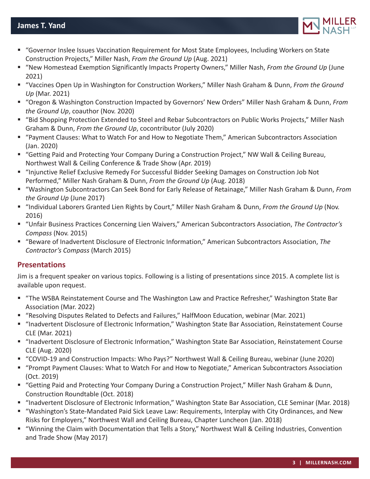

- "Governor Inslee Issues Vaccination Requirement for Most State Employees, Including Workers on State Construction Projects," Miller Nash, *From the Ground Up* (Aug. 2021)
- "New Homestead Exemption Significantly Impacts Property Owners," Miller Nash, *From the Ground Up* (June 2021)
- "Vaccines Open Up in Washington for Construction Workers," Miller Nash Graham & Dunn, *From the Ground Up* (Mar. 2021)
- "Oregon & Washington Construction Impacted by Governors' New Orders" Miller Nash Graham & Dunn, *From the Ground Up*, coauthor (Nov. 2020)
- "Bid Shopping Protection Extended to Steel and Rebar Subcontractors on Public Works Projects," Miller Nash Graham & Dunn, *From the Ground Up*, cocontributor (July 2020)
- "Payment Clauses: What to Watch For and How to Negotiate Them," American Subcontractors Association (Jan. 2020)
- "Getting Paid and Protecting Your Company During a Construction Project," NW Wall & Ceiling Bureau, Northwest Wall & Ceiling Conference & Trade Show (Apr. 2019)
- "Injunctive Relief Exclusive Remedy For Successful Bidder Seeking Damages on Construction Job Not Performed," Miller Nash Graham & Dunn, *From the Ground Up* (Aug. 2018)
- "Washington Subcontractors Can Seek Bond for Early Release of Retainage," Miller Nash Graham & Dunn, *From the Ground Up* (June 2017)
- "Individual Laborers Granted Lien Rights by Court," Miller Nash Graham & Dunn, *From the Ground Up* (Nov. 2016)
- "Unfair Business Practices Concerning Lien Waivers," American Subcontractors Association, *The Contractor's Compass* (Nov. 2015)
- "Beware of Inadvertent Disclosure of Electronic Information," American Subcontractors Association, *The Contractor's Compass* (March 2015)

# **Presentations**

Jim is a frequent speaker on various topics. Following is a listing of presentations since 2015. A complete list is available upon request.

- "The WSBA Reinstatement Course and The Washington Law and Practice Refresher," Washington State Bar Association (Mar. 2022)
- "Resolving Disputes Related to Defects and Failures," HalfMoon Education, webinar (Mar. 2021)
- "Inadvertent Disclosure of Electronic Information," Washington State Bar Association, Reinstatement Course CLE (Mar. 2021)
- "Inadvertent Disclosure of Electronic Information," Washington State Bar Association, Reinstatement Course CLE (Aug. 2020)
- "COVID-19 and Construction Impacts: Who Pays?" Northwest Wall & Ceiling Bureau, webinar (June 2020)
- "Prompt Payment Clauses: What to Watch For and How to Negotiate," American Subcontractors Association (Oct. 2019)
- "Getting Paid and Protecting Your Company During a Construction Project," Miller Nash Graham & Dunn, Construction Roundtable (Oct. 2018)
- "Inadvertent Disclosure of Electronic Information," Washington State Bar Association, CLE Seminar (Mar. 2018)
- "Washington's State-Mandated Paid Sick Leave Law: Requirements, Interplay with City Ordinances, and New Risks for Employers," Northwest Wall and Ceiling Bureau, Chapter Luncheon (Jan. 2018)
- "Winning the Claim with Documentation that Tells a Story," Northwest Wall & Ceiling Industries, Convention and Trade Show (May 2017)